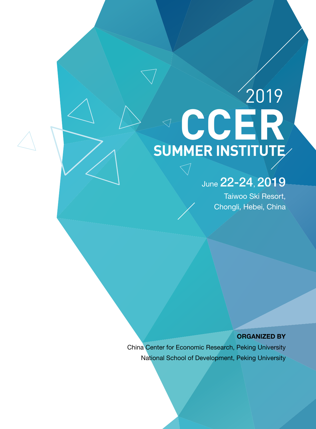# **CCER SUMMER INSTITUTE** 2019

# June 22-24, 2019

Taiwoo Ski Resort, Chongli, Hebei, China

ORGANIZED BY

China Center for Economic Research, Peking University National School of Development, Peking University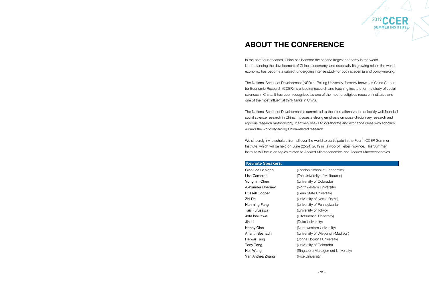2019 CCER **SUMMER INSTITUTE**

# ABOUT THE CONFERENCE

In the past four decades, China has become the second largest economy in the world. Understanding the development of Chinese economy, and especially its growing role in the world economy, has become a subject undergoing intense study for both academia and policy-making.

The National School of Development (NSD) at Peking University, formerly known as China Center for Economic Research (CCER), is a leading research and teaching institute for the study of social sciences in China. It has been recognized as one of the most prestigious research institutes and one of the most influential think tanks in China.

Gianluca Benigno (London School of Economics) Lisa Cameron (The University of Melbourne) Yongmin Chen **(University of Colorado)** Alexander Chernev (Northwestern University) Russell Cooper (Penn State University) Zhi Da (University of Nortre Dame) Hanming Fang **Example 20** (University of Pennsylvania) Jota Ishikawa (Hitotsubashi University) Nancy Qian (Northwestern University) Ananth Seshadri (University of Wisconsin-Madison) Heiwai Tang **Example 20** (Johns Hopkins University) Tony Tong **(University of Colorado)** Heli Wang **Example 2018** (Singapore Management University)

Taiji Furusawa (University of Tokyo) Jia Li **Jia Li (Duke University)** Yan Anthea Zhang (Rice University)

The National School of Development is committed to the internationalization of locally well-founded social science research in China. It places a strong emphasis on cross-disciplinary research and rigorous research methodology. It actively seeks to collaborate and exchange ideas with scholars around the world regarding China-related research.

We sincerely invite scholars from all over the world to participate in the Fourth CCER Summer Institute, which will be held on June 22-24, 2019 in Taiwoo of Hebei Province. This Summer Institute will focus on topics related to Applied Microeconomics and Applied Macroeconomics.

#### Keynote Speakers: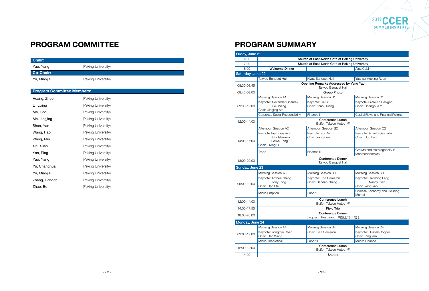2019

## PROGRAM SUMMARY

| Friday, June 21   |                                                                             |                                                              |                                                        |
|-------------------|-----------------------------------------------------------------------------|--------------------------------------------------------------|--------------------------------------------------------|
| 14:00             |                                                                             | Shuttle at East-North Gate of Peking University              |                                                        |
| 17:00             |                                                                             | Shuttle at East-North Gate of Peking University              |                                                        |
| 18:00             | <b>Welcome Dinner</b>                                                       |                                                              | Alps Cabin                                             |
| Saturday, June 22 |                                                                             |                                                              |                                                        |
|                   | Taiwoo Banquet Hall                                                         | Hyatt Banquet Hall                                           | Yuansu Meeting Room                                    |
| 08:30-08:45       |                                                                             | Opening Remarks Addressed by Yang Yao<br>Taiwoo Banquet Hall |                                                        |
| 08:45-09:00       |                                                                             | <b>Group Photo</b>                                           |                                                        |
| 09:00-12:00       | Morning Session A1                                                          | Morning Session B1                                           | Morning Session C1                                     |
|                   | Keynote: Alexander Chernev<br>Heli Wang<br>Chair: Jingjing Ma               | Keynote: Jia Li<br>Chair: Zhuo Huang                         | Keynote: Gianluca Benigno<br>Chair: Changhua Yu        |
|                   | Corporate Social Responsibility                                             | Finance I                                                    | Capital Flows and Financial Policies                   |
| 12:00-14:00       |                                                                             | <b>Conference Lunch</b><br>Buffet, Taiwoo Hotel, 1/F         |                                                        |
|                   | Afternoon Session A2                                                        | Afternoon Session B2                                         | Afternoon Session C2                                   |
| 14:00-17:00       | Keynote: Taiji Furusawa<br>Jota Ishikawa<br>Heiwai Tang<br>Chair: Lixing Li | Keynote: Zhi Da<br>Chair: Yan Shen                           | Keynote: Ananth Seshadri<br>Chair: Bo Zhao             |
|                   | Trade                                                                       | Finance II                                                   | Growth and Heterogeneity in<br>Macroeconomics          |
| 18:00-20:00       |                                                                             | <b>Conference Dinner</b><br>Taiwoo Banquet Hall              |                                                        |
| Sunday, June 23   |                                                                             |                                                              |                                                        |
|                   | Morning Session A3                                                          | Morning Session B3                                           | Morning Session C3                                     |
| 09:00-12:00       | Keynote: Anthea Zhang<br>Tony Tong<br>Chair: Hao Ma                         | Keynote: Lisa Cameron<br>Chair: Dandan Zhang                 | Keynote: Hanming Fang<br>Nancy Qian<br>Chair: Yang Yao |
|                   | Micro-Emprical                                                              | Labor I                                                      | Chinese Economy and Housing<br>Market                  |
| 12:00-14:00       |                                                                             | <b>Conference Lunch</b><br>Buffet, Taiwoo Hotel, 1/F         |                                                        |
| 14:00-17:55       |                                                                             | <b>Field Trip</b>                                            |                                                        |
| 18:00-20:00       |                                                                             | <b>Conference Dinner</b><br>Jingniang Resturant (精酿工场二层)     |                                                        |
| Monday, June 24   |                                                                             |                                                              |                                                        |
|                   | Morning Session A4                                                          | Morning Session B4                                           | Morning Session C4                                     |
| 09:00-12:00       | Keynote: Yongmin Chen<br>Chair: Hao Wang                                    | Chair: Lisa Cameron                                          | Keynote: Russell Cooper<br>Chair: Ping Yan             |
|                   | Micro-Theoretical                                                           | Labor II                                                     | Macro Finance                                          |
| 12:00-14:00       |                                                                             | <b>Conference Lunch</b><br>Buffet, Taiwoo Hotel, 1/F         |                                                        |
| 14:00             |                                                                             | Shuttle                                                      |                                                        |

**CCER**<br> **SUMMER INSTITUTE** 

# PROGRAM COMMITTEE

| Chair:                            |                     |  |
|-----------------------------------|---------------------|--|
| Yao, Yang                         | (Peking University) |  |
| <b>Co-Chair:</b>                  |                     |  |
| Yu, Miaojie                       | (Peking University) |  |
|                                   |                     |  |
| <b>Program Committee Members:</b> |                     |  |
| Huang, Zhuo                       | (Peking University) |  |
| Li, Lixing                        | (Peking University) |  |
| Ma, Hao                           | (Peking University) |  |
| Ma, Jingjing                      | (Peking University) |  |
| Shen, Yan                         | (Peking University) |  |
| Wang, Hao                         | (Peking University) |  |
| Wang, Min                         | (Peking University) |  |
| Xie, Xuanli                       | (Peking University) |  |
| Yan, Ping                         | (Peking University) |  |
| Yao, Yang                         | (Peking University) |  |
| Yu, Changhua                      | (Peking University) |  |
| Yu, Miaojie                       | (Peking University) |  |
| Zhang, Dandan                     | (Peking University) |  |
| Zhao, Bo                          | (Peking University) |  |
|                                   |                     |  |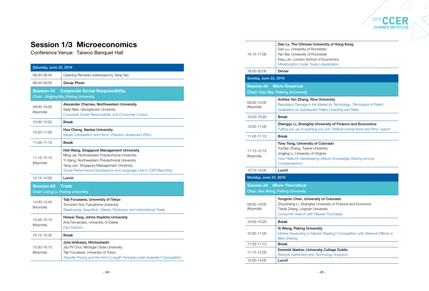

### sity of Hong Kong

conomics

# Session 1/3 Microeconomics

Conference Venue: Taiwoo Banquet Hall

| Saturday, June 22, 2019                                         |                                                                                                                                                                                                                                                                   |
|-----------------------------------------------------------------|-------------------------------------------------------------------------------------------------------------------------------------------------------------------------------------------------------------------------------------------------------------------|
| 08:30-08:45                                                     | Opening Remarks addressed by Yang Yao                                                                                                                                                                                                                             |
| 08:45-09:00                                                     | <b>Group Photo</b>                                                                                                                                                                                                                                                |
| <b>Session A1</b>                                               | <b>Corporate Social Responsibility</b><br><b>Chair: Jingjing Ma, Peking University</b>                                                                                                                                                                            |
| 09:00-10:00<br>(Keynote)                                        | Alexander Chernev, Northwestern University<br>Sean Blair, Georgetown University<br><b>Corporate Social Responsibility and Consumer Choice</b>                                                                                                                     |
| 10:00-10:20                                                     | <b>Break</b>                                                                                                                                                                                                                                                      |
| 10:20-11:05                                                     | Hua Cheng, Nankai University<br>Media Competition and Firms' Pollution Abatement Effort                                                                                                                                                                           |
| 11:05-11:15                                                     | <b>Break</b>                                                                                                                                                                                                                                                      |
| 11:15-12:15<br>(Keynote)                                        | Heli Wang, Singapore Management University<br>Ming Jia, Northwestern Polytechnical University<br>Yi Xiang, Northwestern Polytechnical University<br>Yang Lan, Singapore Management University<br>Social Performance Discrepancy and Language Use in CSR Reporting |
| 12:15-14:00                                                     | Lunch                                                                                                                                                                                                                                                             |
| <b>Session A2</b><br><b>Chair: Lixing Li, Peking University</b> | <b>Trade</b>                                                                                                                                                                                                                                                      |
| 14:00-14:45<br>(Keynote)                                        | Taiji Furusawa, University of Tokyo<br>Tomohiro Ara, Fukushima University<br>Relationship Specificity, Market Thickness, and International Trade                                                                                                                  |
| 14:45-15:15<br>(Keynote)                                        | Heiwai Tang, Johns Hopkins University<br>Ana Fernandes, University of Exeter<br><b>Fast Fashion</b>                                                                                                                                                               |
| 15:15-15:30                                                     | <b>Break</b>                                                                                                                                                                                                                                                      |
| 15:30-16:15<br>(Keynote)                                        | Jota Ishikawa, Hitotsubashi<br>Jay Pil Choi, Michigan State University<br>Taiji Furusawa, University of Tokyo<br>Transfer Pricing and the Arm's Length Principle under Imperfect Competition                                                                      |

iversity *Reputation Damage in the Market for Technology: The Impact of Patent Invalidation on Subsequent Patent Licensing and Sales*

ersity of Finance and Economics *Pulling you up or pushing you out: Political connections and firms' export*

lorado *How Platform Gatekeeping Affects Knowledge Sharing among* 

f Colorado ersity of Finance and Economic *Consumer Search with Repeat Purchases*

*Market Brealing? Competition with Network Effects in* 

College Dublin

*Misallocation Under Trade Liberalization*

| 16:15-17:00                  | Dan Lv, The Chinese Universit<br>Dan Lu, University of Rochester<br>Yan Bai, University of Rochester<br>Keyu Jin, London School of Eco<br><b>Misallocation Under Trade Libera</b> |
|------------------------------|-----------------------------------------------------------------------------------------------------------------------------------------------------------------------------------|
| 18:00-20:00                  | <b>Dinner</b>                                                                                                                                                                     |
| <b>Sunday, June 23, 2019</b> |                                                                                                                                                                                   |
| <b>Session A3</b>            | <b>Micro-Empirical</b><br><b>Chair: Hao Ma, Peking University</b>                                                                                                                 |
| 09:00-10:00<br>(Keynote)     | Anthea Yan Zhang, Rice Unive<br><b>Reputation Damage in the Market</b><br>Invalidation on Subsequent Paten                                                                        |
| 10:00-10:20                  | <b>Break</b>                                                                                                                                                                      |
| 10:20-11:05                  | Zhengyu Li, Shanghai Universi<br>Pulling you up or pushing you ou                                                                                                                 |
| 11:05-11:15                  | <b>Break</b>                                                                                                                                                                      |
| 11:15-12:15<br>(Keynote)     | Tony Tong, University of Color<br>Yuchen Zhang, Tulane University<br>Jingjing Li, University of Virginia<br>How Platform Gatekeeping Affed<br>Complementors                       |
| 12:15-14:00                  | Lunch                                                                                                                                                                             |
|                              |                                                                                                                                                                                   |
| Monday, June 24, 2019        |                                                                                                                                                                                   |
| <b>Session A4</b>            | <b>Micro-Theoretical</b>                                                                                                                                                          |
|                              | <b>Chair: Hao Wang, Peking University</b>                                                                                                                                         |
| 09:00-10:00<br>(Keynote)     | Yongmin Chen, University of C<br>Zhuozheng Li, Shanghai Univers<br>Tianle Zhang, Lingnan University<br><b>Consumer Search with Repeat F</b>                                       |
| 10:00-10:20                  | <b>Break</b>                                                                                                                                                                      |
| 10:20-11:05                  | Xi Weng, Peking University<br>Market Expanding or Market Ste<br><b>Bike-Sharing</b>                                                                                               |
| 11:05-11:15                  | <b>Break</b>                                                                                                                                                                      |
| 11:15-12:00                  | Dominik Naeher, University Co<br>Rational Inattention and Technold                                                                                                                |
| 12:00-14:00                  | Lunch                                                                                                                                                                             |

*Rational Inattention and Technology Adoption*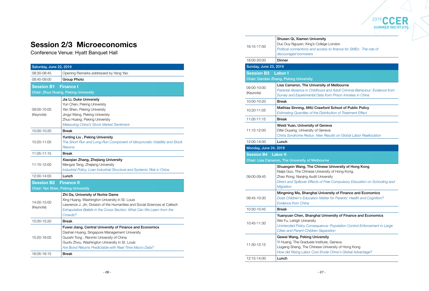

ge London **Parth** *Post to finance for SMEs: The role of* 

#### of Melbourne

# Session 2/3 Microeconomics

Conference Venue: Hyatt Banquet Hall

| Saturday, June 22, 2019                   |                                                                                                                                                                                                                                                                   |
|-------------------------------------------|-------------------------------------------------------------------------------------------------------------------------------------------------------------------------------------------------------------------------------------------------------------------|
| 08:30-08:45                               | Opening Remarks addressed by Yang Yao                                                                                                                                                                                                                             |
| 08:45-09:00                               | <b>Group Photo</b>                                                                                                                                                                                                                                                |
| <b>Session B1</b>                         | <b>Finance I</b>                                                                                                                                                                                                                                                  |
|                                           | <b>Chair: Zhuo Huang, Peking University</b>                                                                                                                                                                                                                       |
| 09:00-10:00<br>(Keynote)                  | Jia Li, Duke University<br>Yun Chen, Peking Univeristy<br>Yan Shen, Peking Univeristy<br>Jingyi Wang, Peking Univeristy<br>Zhuo Huang, Peking Univeristy<br>Measuring China's Stock Market Sentiment                                                              |
| 10:00-10:20                               | <b>Break</b>                                                                                                                                                                                                                                                      |
| 10:20-11:05                               | Yunting Liu, Peking University<br>The Short-Run and Long-Run Component of Idiosyncratic Volatility and Stock<br><b>Returns</b>                                                                                                                                    |
| 11:05-11:15                               | <b>Break</b>                                                                                                                                                                                                                                                      |
| 11:15-12:00                               | Xiaoqian Zhang, Zhejiang University<br>Mengze Tang, Zhejiang University<br>Industrial Policy, Loan Industrial Structure and Systemic Risk in China                                                                                                                |
| 12:00-14:00                               | Lunch                                                                                                                                                                                                                                                             |
| <b>Session B2</b>                         | <b>Finance II</b>                                                                                                                                                                                                                                                 |
| <b>Chair: Yan Shen, Peking University</b> |                                                                                                                                                                                                                                                                   |
| 14:00-15:00<br>(Keynote)                  | Zhi Da, University of Nortre Dame<br>Xing Huang, Washington University in St. Louis<br>Lawrence J. Jin, Division of the Humanities and Social Sciences at Caltech<br>Extrapolative Beliefs in the Cross-Section: What Can We Learn from the<br>Crowds?            |
| 15:00-15:20                               | <b>Break</b>                                                                                                                                                                                                                                                      |
| 15:20-16:05                               | Fuwei Jiang, Central University of Finance and Economics<br>Dashan Huang, Singapore Management University<br>Guoshi Tong, Renmin University of China<br>Guofu Zhou, Washington University in St. Louis<br>Are Bond Returns Predictable with Real-Time Macro Data? |
| 16:05-16:15                               | <b>Break</b>                                                                                                                                                                                                                                                      |
|                                           |                                                                                                                                                                                                                                                                   |

ite, Geneva. Jniversity of Hong Kong *How did Rising Labor Cost Erode China's Global Advantage?*

*Parental Absence in Childhood and Adult Criminal Behaviour: Evidence from Survey and Experimental Data from Prison Inmates in China*

### ford School of Public Policy

*Estimating Quantiles of the Distribution of Treatment Effect*

#### neva

neva

*China Syndrome Redux: New Results on Global Labor Reallocation*

#### se University of Hong Kong

rsity of Hong Kong,

versity

Free Compulsory Education on Schooling and

#### versity of Finance and Economics

| 16:15-17:00                  | Shusen Qi, Xiamen University<br>Duc Duy Nguyen, King's College I<br>Political connections and access<br>discouraged borrowers                                    |
|------------------------------|------------------------------------------------------------------------------------------------------------------------------------------------------------------|
| 18:00-20:00                  | <b>Dinner</b>                                                                                                                                                    |
| <b>Sunday, June 23, 2019</b> |                                                                                                                                                                  |
| <b>Session B3</b>            | <b>Labor I</b>                                                                                                                                                   |
|                              | <b>Chair: Dandan Zhang, Peking University</b>                                                                                                                    |
| 09:00-10:00<br>(Keynote)     | Lisa Cameron, The University o<br>Parental Absence in Childhood ar<br>Survey and Experimental Data fro.                                                          |
| 10:00-10:20                  | <b>Break</b>                                                                                                                                                     |
| 10:20-11:05                  | <b>Mathias Sinning, ANU Crawford</b><br><b>Estimating Quantiles of the Distrib</b>                                                                               |
| 11:05-11:15                  | <b>Break</b>                                                                                                                                                     |
| 11:15-12:00                  | Weidi Yuan, University of Genev<br>Difei Ouyang, University of Geneva<br>China Syndrome Redux: New Res                                                           |
| 12:00-14:00                  | Lunch                                                                                                                                                            |
| Monday, June 24, 2019        |                                                                                                                                                                  |
| <b>Session B4</b>            | <b>Labor II</b>                                                                                                                                                  |
|                              | <b>Chair: Lisa Cameron, The University of Melbourne</b>                                                                                                          |
| 09:00-09:45                  | Shuangxin Wang, The Chinese<br>Naijia Guo, The Chinese Universit<br>Zhao Rong, Nanjing Audit Univers<br><b>Direct and Spillover Effects of Free</b><br>Migration |
| 09:45-10:30                  | Mingming Ma, Shanghai Univer<br>Does Children's Education Matter<br><b>Evidence from China</b>                                                                   |
| 10:30-10:45                  | <b>Break</b>                                                                                                                                                     |
| 10:45-11:30                  | Yuanyuan Chen, Shanghai Univ<br>Wei Fu, Lehigh University<br><b>Unintended Policy Consequence:</b><br><b>Cities and Parent-Children Separa</b>                   |
| 11:30-12:15                  | Gewei Wang, Peking University<br>Yi Huang, The Graduate Institute,<br>Liugang Sheng, The Chinese Univ<br>How did Rising Labor Cost Erode                         |
| 12:15-14:00                  | Lunch                                                                                                                                                            |
|                              |                                                                                                                                                                  |

*Does Children's Education Matter for Parents' Health and Cognition?* 

### Iniversity of Finance and Economics

*Unintended Policy Consequence: Population Control Enforcement in Large Cities and Parent-Children Separation*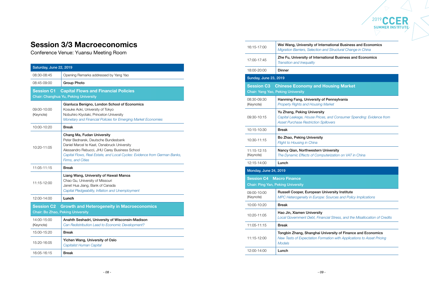

# Session 3/3 Macroeconomics

Conference Venue: Yuansu Meeting Room

| Saturday, June 22, 2019                                       |                                                                                                                                                                                                                                                                            |
|---------------------------------------------------------------|----------------------------------------------------------------------------------------------------------------------------------------------------------------------------------------------------------------------------------------------------------------------------|
| 08:30-08:45                                                   | Opening Remarks addressed by Yang Yao                                                                                                                                                                                                                                      |
| 08:45-09:00                                                   | <b>Group Photo</b>                                                                                                                                                                                                                                                         |
| <b>Session C1</b>                                             | <b>Capital Flows and Financial Policies</b><br>Chair: Changhua Yu, Peking University                                                                                                                                                                                       |
| 09:00-10:00<br>(Keynote)                                      | Gianluca Benigno, London School of Economics<br>Kosuke Aoki, University of Tokyo<br>Nobuhiro Kiyotaki, Princeton University<br>Monetary and Financial Policies for Emerging Market Economies                                                                               |
| 10:00-10:20                                                   | <b>Break</b>                                                                                                                                                                                                                                                               |
| 10:20-11:05                                                   | Chang Ma, Fudan University<br>Peter Bednarek, Deutsche Bundesbank<br>Daniel Marcel te Kaat, Osnabruck University<br>Alessandro Rebucci, JHU Carey Business School<br>Capital Flows, Real Estate, and Local Cycles: Evidence from German Banks,<br><b>Firms, and Cities</b> |
| 11:05-11:15                                                   | <b>Break</b>                                                                                                                                                                                                                                                               |
| 11:15-12:00                                                   | Liang Wang, University of Hawaii Manoa<br>Chao Gu, University of Missouri<br>Janet Hua Jiang, Bank of Canada<br>Capital Pledgeability, Inflation and Unemployment                                                                                                          |
| 12:00-14:00                                                   | Lunch                                                                                                                                                                                                                                                                      |
| <b>Session C2</b><br><b>Chair: Bo Zhao, Peking University</b> | <b>Growth and Heterogeneity in Macroeconomics</b>                                                                                                                                                                                                                          |
| 14:00-15:00<br>(Keynote)                                      | Anahth Seshadri, University of Wisconsin-Madison<br>Can Redistribution Lead to Economic Development?                                                                                                                                                                       |
| 15:00-15:20                                                   | <b>Break</b>                                                                                                                                                                                                                                                               |
| 15:20-16:05                                                   | Yichen Wang, University of Oslo<br>Capitalist Human Capital                                                                                                                                                                                                                |
| 16:05-16:15                                                   | <b>Break</b>                                                                                                                                                                                                                                                               |

ernational Business and Economics *Migration Barriers, Selection and Structural Change in China*

ational Business and Economics

### **Jousing Market**

#### f Pennsylvania

Jniversity *The Dynamic Effects of Computerization on VAT in China*

Jniversity Institute **Sources and Policy Implications** 

*Property Rights and Housing Market*

*Capital Leakage, House Prices, and Consumer Spending: Evidence from Asset Purchase Restriction Spillovers*

| 16:15-17:00                                                    | Wei Wang, University of Inte<br>Migration Barriers, Selection a                                      |
|----------------------------------------------------------------|------------------------------------------------------------------------------------------------------|
| 17:00-17:45                                                    | Zhe Fu, University of Interna<br><b>Transition and Inequality</b>                                    |
| 18:00-20:00                                                    | <b>Dinner</b>                                                                                        |
| <b>Sunday, June 23, 2019</b>                                   |                                                                                                      |
| <b>Session C3</b><br><b>Chair: Yang Yao, Peking University</b> | <b>Chinese Economy and H</b>                                                                         |
| 08:30-09:30<br>(Keynote)                                       | Hanming Fang, University of<br><b>Property Rights and Housing I</b>                                  |
| 09:30-10:15                                                    | Yu Zhang, Peking University<br>Capital Leakage, House Prices<br><b>Asset Purchase Restriction Sp</b> |
| 10:15-10:30                                                    | <b>Break</b>                                                                                         |
| 10:30-11:15                                                    | Bo Zhao, Peking University<br>Flight to Housing in China                                             |
| 11:15-12:15                                                    | Nancy Qian, Northwestern L                                                                           |
| (Keynote)                                                      | The Dynamic Effects of Comp                                                                          |
| 12:15-14:00                                                    | Lunch                                                                                                |
| Monday, June 24, 2019                                          |                                                                                                      |
| <b>Session C4 Macro Finance</b>                                |                                                                                                      |
| <b>Chair: Ping Yan, Peking University</b>                      |                                                                                                      |
| 09:00-10:00<br>(Keynote)                                       | Russell Cooper, European U<br>MPC Heterogeneity in Europe.                                           |
| 10:00-10:20                                                    | <b>Break</b>                                                                                         |
| 10:20-11:05                                                    | Hao Jin, Xiamen University<br>Local Government Debt, Finar                                           |
| 11:05-11:15                                                    | <b>Break</b>                                                                                         |
| 11:15-12:00                                                    | Tongbin Zhang, Shanghai Ur<br><b>New Tests of Expectation Forn</b><br><b>Models</b>                  |
| 12:00-14:00                                                    | Lunch                                                                                                |

*Local Government Debt, Financial Stress, and the Misallocation of Credits*

#### niversity of Finance and Economics

*New Tests of Expectation Formation with Applications to Asset Pricing*